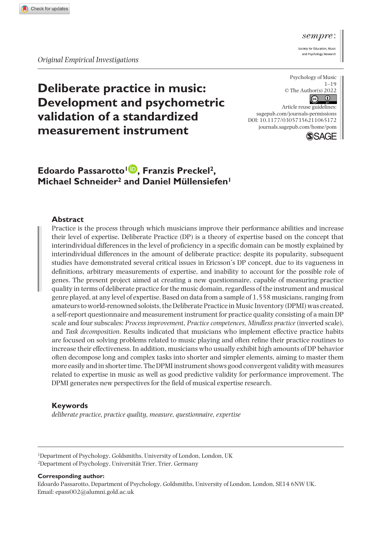*Original Empirical Investigations*

Psychology of Music © The Author(s) 2022  $\bigcirc$ 

**Deliberate practice in music: Development and psychometric validation of a standardized measurement instrument**

# **Edoardo Passarotto1 , Franzis Preckel2, Michael Schneider2 and Daniel Müllensiefen1**

#### **Abstract**

Practice is the process through which musicians improve their performance abilities and increase their level of expertise. Deliberate Practice (DP) is a theory of expertise based on the concept that interindividual differences in the level of proficiency in a specific domain can be mostly explained by interindividual differences in the amount of deliberate practice; despite its popularity, subsequent studies have demonstrated several critical issues in Ericsson's DP concept, due to its vagueness in definitions, arbitrary measurements of expertise, and inability to account for the possible role of genes. The present project aimed at creating a new questionnaire, capable of measuring practice quality in terms of deliberate practice for the music domain, regardless of the instrument and musical genre played, at any level of expertise. Based on data from a sample of 1,558 musicians, ranging from amateurs to world-renowned soloists, the Deliberate Practice in Music Inventory (DPMI) was created, a self-report questionnaire and measurement instrument for practice quality consisting of a main DP scale and four subscales: *Process improvement, Practice competences, Mindless practice* (inverted scale), and *Task decomposition*. Results indicated that musicians who implement effective practice habits are focused on solving problems related to music playing and often refine their practice routines to increase their effectiveness. In addition, musicians who usually exhibit high amounts of DP behavior often decompose long and complex tasks into shorter and simpler elements, aiming to master them more easily and in shorter time. The DPMI instrument shows good convergent validity with measures related to expertise in music as well as good predictive validity for performance improvement. The DPMI generates new perspectives for the field of musical expertise research.

#### **Keywords**

*deliberate practice, practice quality, measure, questionnaire, expertise*

1Department of Psychology, Goldsmiths, University of London, London, UK 2Department of Psychology, Universität Trier, Trier, Germany

#### **Corresponding author:**

Edoardo Passarotto, Department of Psychology, Goldsmiths, University of London, London, SE14 6NW UK. Email: [epass002@alumni.gold.ac.uk](mailto:epass002@alumni.gold.ac.uk)



and Psychology Research

 $1 - 19$ 

 $\odot$ 

Article reuse guidelines: [sagepub.com/journals-permissions](https://uk.sagepub.com/en-gb/journals-permissions) DOI: 10.1177/03057356211065172 [journals.sagepub.com/home/pom](https://journals.sagepub.com/home/pom) **SSAGE**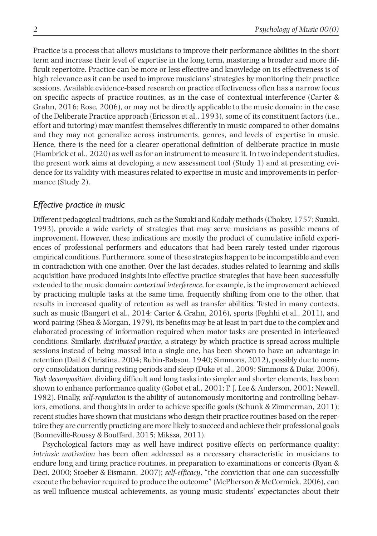Practice is a process that allows musicians to improve their performance abilities in the short term and increase their level of expertise in the long term, mastering a broader and more difficult repertoire. Practice can be more or less effective and knowledge on its effectiveness is of high relevance as it can be used to improve musicians' strategies by monitoring their practice sessions. Available evidence-based research on practice effectiveness often has a narrow focus on specific aspects of practice routines, as in the case of contextual interference (Carter & Grahn, 2016; Rose, 2006), or may not be directly applicable to the music domain: in the case of the Deliberate Practice approach (Ericsson et al., 1993), some of its constituent factors (i.e., effort and tutoring) may manifest themselves differently in music compared to other domains and they may not generalize across instruments, genres, and levels of expertise in music. Hence, there is the need for a clearer operational definition of deliberate practice in music (Hambrick et al., 2020) as well as for an instrument to measure it. In two independent studies, the present work aims at developing a new assessment tool (Study 1) and at presenting evidence for its validity with measures related to expertise in music and improvements in performance (Study 2).

## *Effective practice in music*

Different pedagogical traditions, such as the Suzuki and Kodaly methods (Choksy, 1757; Suzuki, 1993), provide a wide variety of strategies that may serve musicians as possible means of improvement. However, these indications are mostly the product of cumulative infield experiences of professional performers and educators that had been rarely tested under rigorous empirical conditions. Furthermore, some of these strategies happen to be incompatible and even in contradiction with one another. Over the last decades, studies related to learning and skills acquisition have produced insights into effective practice strategies that have been successfully extended to the music domain: *contextual interference*, for example, is the improvement achieved by practicing multiple tasks at the same time, frequently shifting from one to the other, that results in increased quality of retention as well as transfer abilities. Tested in many contexts, such as music (Bangert et al., 2014; Carter & Grahn, 2016), sports (Feghhi et al., 2011), and word pairing (Shea & Morgan, 1979), its benefits may be at least in part due to the complex and elaborated processing of information required when motor tasks are presented in interleaved conditions. Similarly, *distributed practice*, a strategy by which practice is spread across multiple sessions instead of being massed into a single one, has been shown to have an advantage in retention (Dail & Christina, 2004; Rubin-Rabson, 1940; Simmons, 2012), possibly due to memory consolidation during resting periods and sleep (Duke et al., 2009; Simmons & Duke, 2006). *Task decomposition*, dividing difficult and long tasks into simpler and shorter elements, has been shown to enhance performance quality (Gobet et al., 2001; F. J. Lee & Anderson, 2001; Newell, 1982). Finally, *self-regulation* is the ability of autonomously monitoring and controlling behaviors, emotions, and thoughts in order to achieve specific goals (Schunk & Zimmerman, 2011); recent studies have shown that musicians who design their practice routines based on the repertoire they are currently practicing are more likely to succeed and achieve their professional goals (Bonneville-Roussy & Bouffard, 2015; Miksza, 2011).

Psychological factors may as well have indirect positive effects on performance quality: *intrinsic motivation* has been often addressed as a necessary characteristic in musicians to endure long and tiring practice routines, in preparation to examinations or concerts (Ryan & Deci, 2000; Stoeber & Eismann, 2007); *self-efficacy*, "the conviction that one can successfully execute the behavior required to produce the outcome" (McPherson & McCormick, 2006), can as well influence musical achievements, as young music students' expectancies about their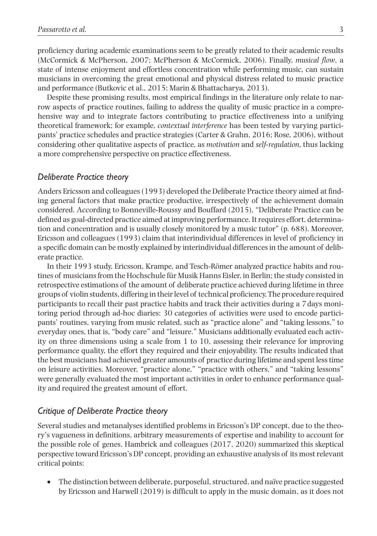proficiency during academic examinations seem to be greatly related to their academic results (McCormick & McPherson, 2007; McPherson & McCormick, 2006). Finally, *musical flow*, a state of intense enjoyment and effortless concentration while performing music, can sustain musicians in overcoming the great emotional and physical distress related to music practice and performance (Butkovic et al., 2015; Marin & Bhattacharya, 2013).

Despite these promising results, most empirical findings in the literature only relate to narrow aspects of practice routines, failing to address the quality of music practice in a comprehensive way and to integrate factors contributing to practice effectiveness into a unifying theoretical framework; for example, *contextual interference* has been tested by varying participants' practice schedules and practice strategies (Carter & Grahn, 2016; Rose, 2006), without considering other qualitative aspects of practice, as *motivation* and *self-regulation*, thus lacking a more comprehensive perspective on practice effectiveness.

## *Deliberate Practice theory*

Anders Ericsson and colleagues (1993) developed the Deliberate Practice theory aimed at finding general factors that make practice productive, irrespectively of the achievement domain considered. According to Bonneville-Roussy and Bouffard (2015), "Deliberate Practice can be defined as goal-directed practice aimed at improving performance. It requires effort, determination and concentration and is usually closely monitored by a music tutor" (p. 688). Moreover, Ericsson and colleagues (1993) claim that interindividual differences in level of proficiency in a specific domain can be mostly explained by interindividual differences in the amount of deliberate practice.

In their 1993 study, Ericsson, Krampe, and Tesch-Römer analyzed practice habits and routines of musicians from the Hochschule für Musik Hanns Eisler, in Berlin; the study consisted in retrospective estimations of the amount of deliberate practice achieved during lifetime in three groups of violin students, differing in their level of technical proficiency. The procedure required participants to recall their past practice habits and track their activities during a 7days monitoring period through ad-hoc diaries: 30 categories of activities were used to encode participants' routines, varying from music related, such as "practice alone" and "taking lessons," to everyday ones, that is, "body care" and "leisure." Musicians additionally evaluated each activity on three dimensions using a scale from 1 to 10, assessing their relevance for improving performance quality, the effort they required and their enjoyability. The results indicated that the best musicians had achieved greater amounts of practice during lifetime and spent less time on leisure activities. Moreover, "practice alone," "practice with others," and "taking lessons" were generally evaluated the most important activities in order to enhance performance quality and required the greatest amount of effort.

## *Critique of Deliberate Practice theory*

Several studies and metanalyses identified problems in Ericsson's DP concept, due to the theory's vagueness in definitions, arbitrary measurements of expertise and inability to account for the possible role of genes. Hambrick and colleagues (2017, 2020) summarized this skeptical perspective toward Ericsson's DP concept, providing an exhaustive analysis of its most relevant critical points:

• The distinction between deliberate, purposeful, structured, and naïve practice suggested by Ericsson and Harwell (2019) is difficult to apply in the music domain, as it does not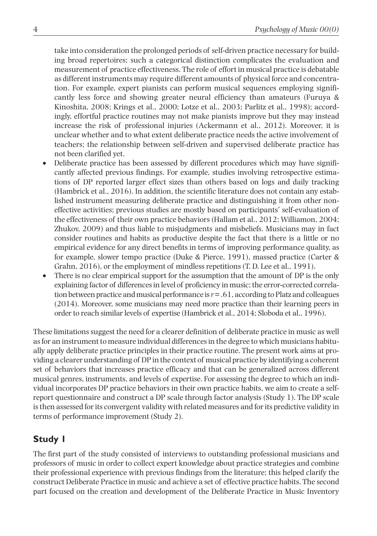take into consideration the prolonged periods of self-driven practice necessary for building broad repertoires; such a categorical distinction complicates the evaluation and measurement of practice effectiveness. The role of effort in musical practice is debatable as different instruments may require different amounts of physical force and concentration. For example, expert pianists can perform musical sequences employing significantly less force and showing greater neural efficiency than amateurs (Furuya & Kinoshita, 2008; Krings et al., 2000; Lotze et al., 2003; Parlitz et al., 1998); accordingly, effortful practice routines may not make pianists improve but they may instead increase the risk of professional injuries (Ackermann et al., 2012). Moreover, it is unclear whether and to what extent deliberate practice needs the active involvement of teachers; the relationship between self-driven and supervised deliberate practice has not been clarified yet.

- Deliberate practice has been assessed by different procedures which may have significantly affected previous findings. For example, studies involving retrospective estimations of DP reported larger effect sizes than others based on logs and daily tracking (Hambrick et al., 2016). In addition, the scientific literature does not contain any established instrument measuring deliberate practice and distinguishing it from other noneffective activities; previous studies are mostly based on participants' self-evaluation of the effectiveness of their own practice behaviors (Hallam et al., 2012; Williamon, 2004; Zhukov, 2009) and thus liable to misjudgments and misbeliefs. Musicians may in fact consider routines and habits as productive despite the fact that there is a little or no empirical evidence for any direct benefits in terms of improving performance quality, as for example, slower tempo practice (Duke & Pierce, 1991), massed practice (Carter & Grahn, 2016), or the employment of mindless repetitions (T. D. Lee et al., 1991).
- There is no clear empirical support for the assumption that the amount of DP is the only explaining factor of differences in level of proficiency in music; the error-corrected correlation between practice and musical performance is *r*=.61, according to Platz and colleagues (2014). Moreover, some musicians may need more practice than their learning peers in order to reach similar levels of expertise (Hambrick et al., 2014; Sloboda et al., 1996).

These limitations suggest the need for a clearer definition of deliberate practice in music as well as for an instrument to measure individual differences in the degree to which musicians habitually apply deliberate practice principles in their practice routine. The present work aims at providing a clearer understanding of DP in the context of musical practice by identifying a coherent set of behaviors that increases practice efficacy and that can be generalized across different musical genres, instruments, and levels of expertise. For assessing the degree to which an individual incorporates DP practice behaviors in their own practice habits, we aim to create a selfreport questionnaire and construct a DP scale through factor analysis (Study 1). The DP scale is then assessed for its convergent validity with related measures and for its predictive validity in terms of performance improvement (Study 2).

# **Study 1**

The first part of the study consisted of interviews to outstanding professional musicians and professors of music in order to collect expert knowledge about practice strategies and combine their professional experience with previous findings from the literature; this helped clarify the construct Deliberate Practice in music and achieve a set of effective practice habits. The second part focused on the creation and development of the Deliberate Practice in Music Inventory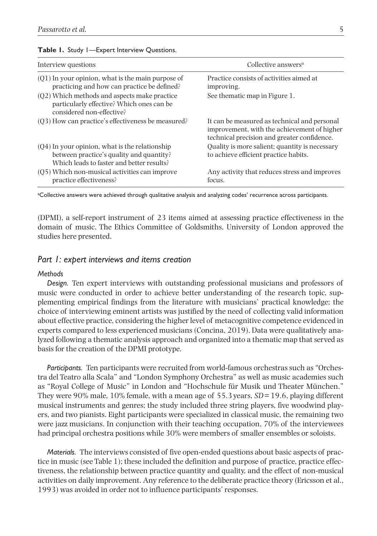| Interview questions                                                                                                                       | Collective answers <sup>a</sup>                                                                                                            |
|-------------------------------------------------------------------------------------------------------------------------------------------|--------------------------------------------------------------------------------------------------------------------------------------------|
| $(01)$ In your opinion, what is the main purpose of<br>practicing and how can practice be defined?                                        | Practice consists of activities aimed at<br>improving.                                                                                     |
| (Q2) Which methods and aspects make practice<br>particularly effective? Which ones can be<br>considered non-effective?                    | See thematic map in Figure 1.                                                                                                              |
| $(03)$ How can practice's effectiveness be measured?                                                                                      | It can be measured as technical and personal<br>improvement, with the achievement of higher<br>technical precision and greater confidence. |
| $(Q4)$ In your opinion, what is the relationship<br>between practice's quality and quantity?<br>Which leads to faster and better results? | Quality is more salient; quantity is necessary<br>to achieve efficient practice habits.                                                    |
| (05) Which non-musical activities can improve<br>practice effectiveness?                                                                  | Any activity that reduces stress and improves<br>focus.                                                                                    |

#### **Table 1.** Study 1—Expert Interview Questions.

a Collective answers were achieved through qualitative analysis and analyzing codes' recurrence across participants.

(DPMI), a self-report instrument of 23 items aimed at assessing practice effectiveness in the domain of music. The Ethics Committee of Goldsmiths, University of London approved the studies here presented.

## *Part 1: expert interviews and items creation*

#### *Methods*

*Design.* Ten expert interviews with outstanding professional musicians and professors of music were conducted in order to achieve better understanding of the research topic, supplementing empirical findings from the literature with musicians' practical knowledge; the choice of interviewing eminent artists was justified by the need of collecting valid information about effective practice, considering the higher level of metacognitive competence evidenced in experts compared to less experienced musicians (Concina, 2019). Data were qualitatively analyzed following a thematic analysis approach and organized into a thematic map that served as basis for the creation of the DPMI prototype.

*Participants.* Ten participants were recruited from world-famous orchestras such as "Orchestra del Teatro alla Scala" and "London Symphony Orchestra" as well as music academies such as "Royal College of Music" in London and "Hochschule für Musik und Theater München." They were 90% male, 10% female, with a mean age of 55.3years, *SD*=19.6, playing different musical instruments and genres; the study included three string players, five woodwind players, and two pianists. Eight participants were specialized in classical music, the remaining two were jazz musicians. In conjunction with their teaching occupation, 70% of the interviewees had principal orchestra positions while 30% were members of smaller ensembles or soloists.

*Materials.* The interviews consisted of five open-ended questions about basic aspects of practice in music (see Table 1); these included the definition and purpose of practice, practice effectiveness, the relationship between practice quantity and quality, and the effect of non-musical activities on daily improvement. Any reference to the deliberate practice theory (Ericsson et al., 1993) was avoided in order not to influence participants' responses.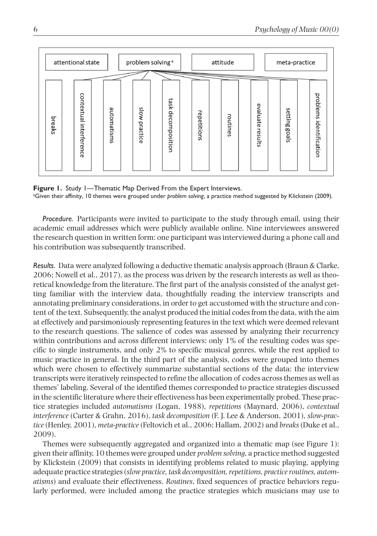

**Figure 1.** Study 1—Thematic Map Derived From the Expert Interviews. a Given their affinity, 10 themes were grouped under *problem solving*, a practice method suggested by Klickstein (2009).

*Procedure.* Participants were invited to participate to the study through email, using their academic email addresses which were publicly available online. Nine interviewees answered the research question in written form: one participant was interviewed during a phone call and his contribution was subsequently transcribed.

*Results.* Data were analyzed following a deductive thematic analysis approach (Braun & Clarke, 2006; Nowell et al., 2017), as the process was driven by the research interests as well as theoretical knowledge from the literature. The first part of the analysis consisted of the analyst getting familiar with the interview data, thoughtfully reading the interview transcripts and annotating preliminary considerations, in order to get accustomed with the structure and content of the text. Subsequently, the analyst produced the initial codes from the data, with the aim at effectively and parsimoniously representing features in the text which were deemed relevant to the research questions. The salience of codes was assessed by analyzing their recurrency within contributions and across different interviews: only 1% of the resulting codes was specific to single instruments, and only 2% to specific musical genres, while the rest applied to music practice in general. In the third part of the analysis, codes were grouped into themes which were chosen to effectively summarize substantial sections of the data: the interview transcripts were iteratively reinspected to refine the allocation of codes across themes as well as themes' labeling. Several of the identified themes corresponded to practice strategies discussed in the scientific literature where their effectiveness has been experimentally probed. These practice strategies included *automatisms* (Logan, 1988), *repetitions* (Maynard, 2006), *contextual interference* (Carter & Grahn, 2016), *task decomposition* (F. J. Lee & Anderson, 2001), *slow-practice* (Henley, 2001), *meta-practice* (Feltovich et al., 2006; Hallam, 2002) and *breaks* (Duke et al., 2009).

Themes were subsequently aggregated and organized into a thematic map (see Figure 1): given their affinity, 10 themes were grouped under *problem solving*, a practice method suggested by Klickstein (2009) that consists in identifying problems related to music playing, applying adequate practice strategies (*slow practice, task decomposition, repetitions, practice routines, automatisms*) and evaluate their effectiveness. *Routines*, fixed sequences of practice behaviors regularly performed, were included among the practice strategies which musicians may use to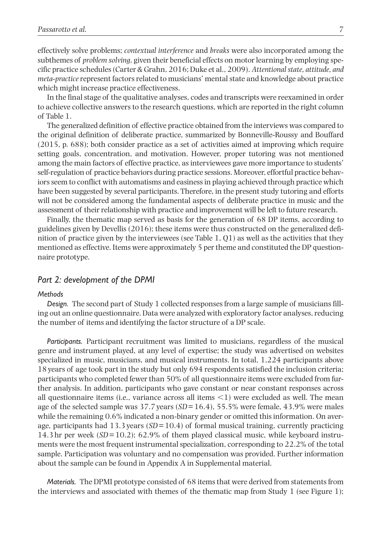effectively solve problems; *contextual interference* and *breaks* were also incorporated among the subthemes of *problem solving*, given their beneficial effects on motor learning by employing specific practice schedules (Carter & Grahn, 2016; Duke et al., 2009). *Attentional state, attitude, and meta-practice* represent factors related to musicians' mental state and knowledge about practice which might increase practice effectiveness.

In the final stage of the qualitative analyses, codes and transcripts were reexamined in order to achieve collective answers to the research questions, which are reported in the right column of Table 1.

The generalized definition of effective practice obtained from the interviews was compared to the original definition of deliberate practice, summarized by Bonneville-Roussy and Bouffard (2015, p. 688); both consider practice as a set of activities aimed at improving which require setting goals, concentration, and motivation. However, proper tutoring was not mentioned among the main factors of effective practice, as interviewees gave more importance to students' self-regulation of practice behaviors during practice sessions. Moreover, effortful practice behaviors seem to conflict with automatisms and easiness in playing achieved through practice which have been suggested by several participants. Therefore, in the present study tutoring and efforts will not be considered among the fundamental aspects of deliberate practice in music and the assessment of their relationship with practice and improvement will be left to future research.

Finally, the thematic map served as basis for the generation of 68 DP items, according to guidelines given by Devellis (2016); these items were thus constructed on the generalized definition of practice given by the interviewees (see Table 1, Q1) as well as the activities that they mentioned as effective. Items were approximately 5 per theme and constituted the DP questionnaire prototype.

## *Part 2: development of the DPMI*

#### *Methods*

*Design.* The second part of Study 1 collected responses from a large sample of musicians filling out an online questionnaire. Data were analyzed with exploratory factor analyses, reducing the number of items and identifying the factor structure of a DP scale.

*Participants.* Participant recruitment was limited to musicians, regardless of the musical genre and instrument played, at any level of expertise; the study was advertised on websites specialized in music, musicians, and musical instruments. In total, 1,224 participants above 18years of age took part in the study but only 694 respondents satisfied the inclusion criteria; participants who completed fewer than 50% of all questionnaire items were excluded from further analysis. In addition, participants who gave constant or near constant responses across all questionnaire items (i.e., variance across all items  $\leq$  1) were excluded as well. The mean age of the selected sample was 37.7years (*SD*=16.4), 55.5% were female, 43.9% were males while the remaining  $0.6\%$  indicated a non-binary gender or omitted this information. On average, participants had 13.3years (*SD*=10.4) of formal musical training, currently practicing 14.3hr per week (*SD*=10.2); 62.9% of them played classical music, while keyboard instruments were the most frequent instrumental specialization, corresponding to 22.2% of the total sample. Participation was voluntary and no compensation was provided. Further information about the sample can be found in Appendix A in Supplemental material.

*Materials.* The DPMI prototype consisted of 68 items that were derived from statements from the interviews and associated with themes of the thematic map from Study 1 (see Figure 1);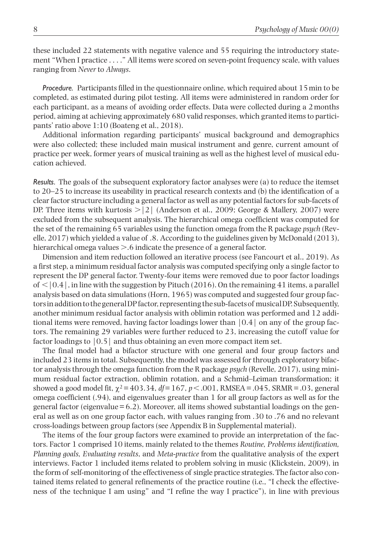these included 22 statements with negative valence and 55 requiring the introductory statement "When I practice . . . ." All items were scored on seven-point frequency scale, with values ranging from *Never* to *Always*.

*Procedure.* Participants filled in the questionnaire online, which required about 15min to be completed, as estimated during pilot testing. All items were administered in random order for each participant, as a means of avoiding order effects. Data were collected during a 2months period, aiming at achieving approximately 680 valid responses, which granted items to participants' ratio above 1:10 (Boateng et al., 2018).

Additional information regarding participants' musical background and demographics were also collected; these included main musical instrument and genre, current amount of practice per week, former years of musical training as well as the highest level of musical education achieved.

*Results.* The goals of the subsequent exploratory factor analyses were (a) to reduce the itemset to 20–25 to increase its useability in practical research contexts and (b) the identification of a clear factor structure including a general factor as well as any potential factors for sub-facets of DP. Three items with kurtosis  $> |2|$  (Anderson et al., 2009; George & Mallery, 2007) were excluded from the subsequent analysis. The hierarchical omega coefficient was computed for the set of the remaining 65 variables using the function omega from the R package *psych* (Revelle, 2017) which yielded a value of .8. According to the guidelines given by McDonald (2013), hierarchical omega values  $> 0.6$  indicate the presence of a general factor.

Dimension and item reduction followed an iterative process (see Fancourt et al., 2019). As a first step, a minimum residual factor analysis was computed specifying only a single factor to represent the DP general factor. Twenty-four items were removed due to poor factor loadings of  $\langle 0.4|$ , in line with the suggestion by Pituch (2016). On the remaining 41 items, a parallel analysis based on data simulations (Horn, 1965) was computed and suggested four group factors in addition to the general DP factor, representing the sub-facets of musical DP. Subsequently, another minimum residual factor analysis with oblimin rotation was performed and 12 additional items were removed, having factor loadings lower than  $(0.4)$  on any of the group factors. The remaining 29 variables were further reduced to 23, increasing the cutoff value for factor loadings to |0.5| and thus obtaining an even more compact item set.

The final model had a bifactor structure with one general and four group factors and included 23 items in total. Subsequently, the model was assessed for through exploratory bifactor analysis through the omega function from the R package *psych* (Revelle, 2017), using minimum residual factor extraction, oblimin rotation, and a Schmid–Leiman transformation; it showed a good model fit,  $\chi^2 = 403.34$ ,  $df = 167$ ,  $p < .001$ , RMSEA = .045, SRMR = .03, general omega coefficient (.94), and eigenvalues greater than 1 for all group factors as well as for the general factor (eigenvalue  $=6.2$ ). Moreover, all items showed substantial loadings on the general as well as on one group factor each, with values ranging from .30 to .76 and no relevant cross-loadings between group factors (see Appendix B in Supplemental material).

The items of the four group factors were examined to provide an interpretation of the factors. Factor 1 comprised 10 items, mainly related to the themes *Routine, Problems identification, Planning goals, Evaluating results*, and *Meta-practice* from the qualitative analysis of the expert interviews. Factor 1 included items related to problem solving in music (Klickstein, 2009), in the form of self-monitoring of the effectiveness of single practice strategies. The factor also contained items related to general refinements of the practice routine (i.e., "I check the effectiveness of the technique I am using" and "I refine the way I practice"), in line with previous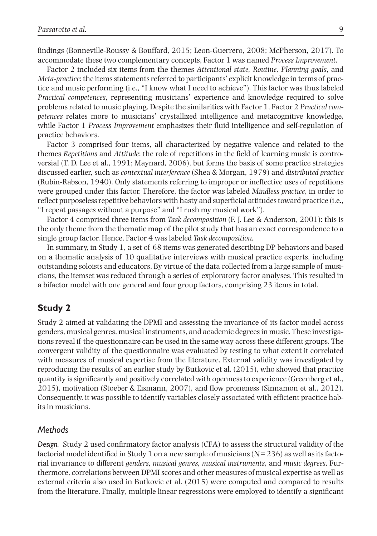findings (Bonneville-Roussy & Bouffard, 2015; Leon-Guerrero, 2008; McPherson, 2017). To accommodate these two complementary concepts, Factor 1 was named *Process Improvement.*

Factor 2 included six items from the themes *Attentional state, Routine, Planning goals*, and *Meta-practice*: the items statements referred to participants' explicit knowledge in terms of practice and music performing (i.e., "I know what I need to achieve"). This factor was thus labeled *Practical competences*, representing musicians' experience and knowledge required to solve problems related to music playing. Despite the similarities with Factor 1, Factor 2 *Practical competences* relates more to musicians' crystallized intelligence and metacognitive knowledge, while Factor 1 *Process Improvement* emphasizes their fluid intelligence and self-regulation of practice behaviors.

Factor 3 comprised four items, all characterized by negative valence and related to the themes *Repetitions* and *Attitude*: the role of repetitions in the field of learning music is controversial (T. D. Lee et al., 1991; Maynard, 2006), but forms the basis of some practice strategies discussed earlier, such as *contextual interference* (Shea & Morgan, 1979) and *distributed practice* (Rubin-Rabson, 1940). Only statements referring to improper or ineffective uses of repetitions were grouped under this factor. Therefore, the factor was labeled *Mindless practice*, in order to reflect purposeless repetitive behaviors with hasty and superficial attitudes toward practice (i.e., "I repeat passages without a purpose" and "I rush my musical work").

Factor 4 comprised three items from *Task decomposition* (F. J. Lee & Anderson, 2001): this is the only theme from the thematic map of the pilot study that has an exact correspondence to a single group factor. Hence, Factor 4 was labeled *Task decomposition.*

In summary, in Study 1, a set of 68 items was generated describing DP behaviors and based on a thematic analysis of 10 qualitative interviews with musical practice experts, including outstanding soloists and educators. By virtue of the data collected from a large sample of musicians, the itemset was reduced through a series of exploratory factor analyses. This resulted in a bifactor model with one general and four group factors, comprising 23 items in total.

# **Study 2**

Study 2 aimed at validating the DPMI and assessing the invariance of its factor model across genders, musical genres, musical instruments, and academic degrees in music. These investigations reveal if the questionnaire can be used in the same way across these different groups. The convergent validity of the questionnaire was evaluated by testing to what extent it correlated with measures of musical expertise from the literature. External validity was investigated by reproducing the results of an earlier study by Butkovic et al. (2015), who showed that practice quantity is significantly and positively correlated with openness to experience (Greenberg et al., 2015), motivation (Stoeber & Eismann, 2007), and flow proneness (Sinnamon et al., 2012). Consequently, it was possible to identify variables closely associated with efficient practice habits in musicians.

### *Methods*

*Design.* Study 2 used confirmatory factor analysis (CFA) to assess the structural validity of the factorial model identified in Study 1 on a new sample of musicians (*N*=236) as well as its factorial invariance to different *genders, musical genres, musical instruments*, and *music degrees*. Furthermore, correlations between DPMI scores and other measures of musical expertise as well as external criteria also used in Butkovic et al. (2015) were computed and compared to results from the literature. Finally, multiple linear regressions were employed to identify a significant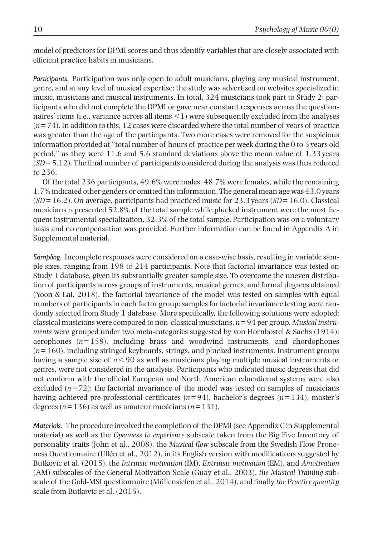model of predictors for DPMI scores and thus identify variables that are closely associated with efficient practice habits in musicians.

*Participants.* Participation was only open to adult musicians, playing any musical instrument, genre, and at any level of musical expertise: the study was advertised on websites specialized in music, musicians and musical instruments. In total, 324 musicians took part to Study 2: participants who did not complete the DPMI or gave near constant responses across the questionnaires' items (i.e., variance across all items <1) were subsequently excluded from the analyses (*n*=74). In addition to this, 12 cases were discarded where the total number of years of practice was greater than the age of the participants. Two more cases were removed for the suspicious information provided at "total number of hours of practice per week during the 0 to 5years old period," as they were 11.6 and 5.6 standard deviations above the mean value of 1.33years (*SD*=5.12). The final number of participants considered during the analysis was thus reduced to 236.

Of the total 236 participants, 49.6% were males, 48.7% were females, while the remaining 1.7% indicated other genders or omitted this information. The general mean age was 43.0years (*SD*=16.2). On average, participants had practiced music for 23.3years (*SD*=16.0). Classical musicians represented 52.8% of the total sample while plucked instrument were the most frequent instrumental specialization, 32.3% of the total sample. Participation was on a voluntary basis and no compensation was provided. Further information can be found in Appendix A in Supplemental material.

*Sampling.* Incomplete responses were considered on a case-wise basis, resulting in variable sample sizes, ranging from 198 to 214 participants. Note that factorial invariance was tested on Study 1 database, given its substantially greater sample size. To overcome the uneven distribution of participants across groups of instruments, musical genres, and formal degrees obtained (Yoon & Lai, 2018), the factorial invariance of the model was tested on samples with equal numbers of participants in each factor group: samples for factorial invariance testing were randomly selected from Study 1 database. More specifically, the following solutions were adopted: classical musicians were compared to non-classical musicians, *n*=94 per group. *Musical instruments* were grouped under two meta-categories suggested by von Hornbostel & Sachs (1914): aerophones (*n*=158), including brass and woodwind instruments, and chordophones (*n*=160), including stringed keyboards, strings, and plucked instruments. Instrument groups having a sample size of *n*<90 as well as musicians playing multiple musical instruments or genres, were not considered in the analysis. Participants who indicated music degrees that did not conform with the official European and North American educational systems were also excluded  $(n=72)$ : the factorial invariance of the model was tested on samples of musicians having achieved pre-professional certificates (*n*=94), bachelor's degrees (*n*=134), master's degrees (*n*=136) as well as amateur musicians (*n*=131).

*Materials.* The procedure involved the completion of the DPMI (see Appendix C in Supplemental material) as well as the *Openness to experience* subscale taken from the Big Five Inventory of personality traits (John et al., 2008), the *Musical flow* subscale from the Swedish Flow Proneness Questionnaire (Ullén et al., 2012), in its English version with modifications suggested by Butkovic et al. (2015), the *Intrinsic motivation* (IM), *Extrinsic motivation* (EM), and *Amotivation* (AM) subscales of the General Motivation Scale (Guay et al., 2003), *the Musical Training* subscale of the Gold-MSI questionnaire (Müllensiefen et al., 2014), and finally *the Practice quantity* scale from Butkovic et al. (2015).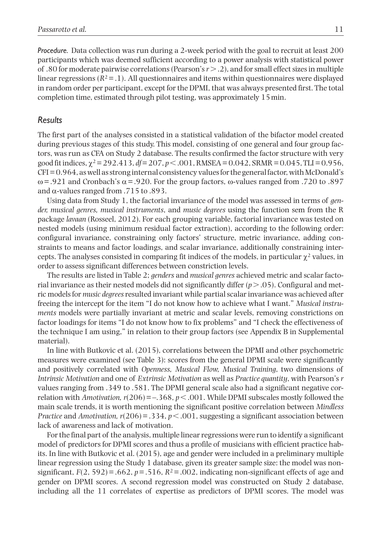*Procedure.* Data collection was run during a 2-week period with the goal to recruit at least 200 participants which was deemed sufficient according to a power analysis with statistical power of .80 for moderate pairwise correlations (Pearson's *r*>.2), and for small effect sizes in multiple linear regressions  $(R^2 = .1)$ . All questionnaires and items within questionnaires were displayed in random order per participant, except for the DPMI, that was always presented first. The total completion time, estimated through pilot testing, was approximately 15min.

## *Results*

The first part of the analyses consisted in a statistical validation of the bifactor model created during previous stages of this study. This model, consisting of one general and four group factors, was run as CFA on Study 2 database. The results confirmed the factor structure with very good fit indices, χ2=292.413, *df*=207, *p*<.001, RMSEA=0.042, SRMR=0.045, TLI=0.956,  $CFI = 0.964$ , as well as strong internal consistency values for the general factor, with McDonald's  $ω = .921$  and Cronbach's  $α = .920$ . For the group factors,  $ω$ -values ranged from .720 to .897 and  $\alpha$ -values ranged from .715 to .893.

Using data from Study 1, the factorial invariance of the model was assessed in terms of *gender, musical genres, musical instruments*, and *music degrees* using the function sem from the R package *lavaan* (Rosseel, 2012). For each grouping variable, factorial invariance was tested on nested models (using minimum residual factor extraction), according to the following order: configural invariance, constraining only factors' structure, metric invariance, adding constraints to means and factor loadings, and scalar invariance, additionally constraining intercepts. The analyses consisted in comparing fit indices of the models, in particular  $\chi^2$  values, in order to assess significant differences between constriction levels.

The results are listed in Table 2; *genders* and *musical genres* achieved metric and scalar factorial invariance as their nested models did not significantly differ  $(p > .05)$ . Configural and metric models for *music degrees* resulted invariant while partial scalar invariance was achieved after freeing the intercept for the item "I do not know how to achieve what I want." *Musical instruments* models were partially invariant at metric and scalar levels, removing constrictions on factor loadings for items "I do not know how to fix problems" and "I check the effectiveness of the technique I am using," in relation to their group factors (see Appendix B in Supplemental material).

In line with Butkovic et al. (2015), correlations between the DPMI and other psychometric measures were examined (see Table 3): scores from the general DPMI scale were significantly and positively correlated with *Openness, Musical Flow, Musical Training*, two dimensions of *Intrinsic Motivation* and one of *Extrinsic Motivation* as well as *Practice quantity*, with Pearson's *r* values ranging from .349 to .581. The DPMI general scale also had a significant negative correlation with *Amotivation, r*(206)=–.368, *p*<.001. While DPMI subscales mostly followed the main scale trends, it is worth mentioning the significant positive correlation between *Mindless Practice* and *Amotivation,*  $r(206) = .334$ *,*  $p < .001$ *, suggesting a significant association between* lack of awareness and lack of motivation.

For the final part of the analysis, multiple linear regressions were run to identify a significant model of predictors for DPMI scores and thus a profile of musicians with efficient practice habits. In line with Butkovic et al. (2015), age and gender were included in a preliminary multiple linear regression using the Study 1 database, given its greater sample size: the model was nonsignificant,  $F(2, 592) = .662$ ,  $p = .516$ ,  $R<sup>2</sup> = .002$ , indicating non-significant effects of age and gender on DPMI scores. A second regression model was constructed on Study 2 database, including all the 11 correlates of expertise as predictors of DPMI scores. The model was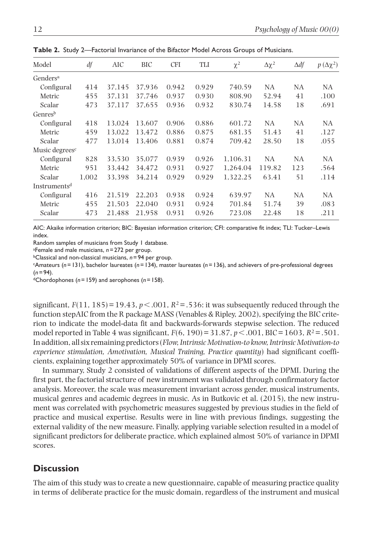| Model                      | df    | AIC    | BIC    | <b>CFI</b> | TLI   | $\chi^2$ | $\Delta \chi^2$ | $\Delta df$ | $p(\Delta \chi^2)$ |
|----------------------------|-------|--------|--------|------------|-------|----------|-----------------|-------------|--------------------|
| Genders <sup>a</sup>       |       |        |        |            |       |          |                 |             |                    |
| Configural                 | 414   | 37,145 | 37,936 | 0.942      | 0.929 | 740.59   | <b>NA</b>       | NA          | NA                 |
| Metric                     | 455   | 37,131 | 37.746 | 0.937      | 0.930 | 808.90   | 52.94           | 41          | .100               |
| Scalar                     | 473   | 37.117 | 37.655 | 0.936      | 0.932 | 830.74   | 14.58           | 18          | .691               |
| Genres <sup>b</sup>        |       |        |        |            |       |          |                 |             |                    |
| Configural                 | 418   | 13,024 | 13,607 | 0.906      | 0.886 | 601.72   | NA              | NA          | NA                 |
| Metric                     | 459   | 13.022 | 13.472 | 0.886      | 0.875 | 681.35   | 51.43           | 41          | .127               |
| Scalar                     | 477   | 13.014 | 13.406 | 0.881      | 0.874 | 709.42   | 28.50           | 18          | .055               |
| Music degrees <sup>c</sup> |       |        |        |            |       |          |                 |             |                    |
| Configural                 | 828   | 33,530 | 35,077 | 0.939      | 0.926 | 1,106.31 | NA              | NA          | NA                 |
| Metric                     | 951   | 33,442 | 34,472 | 0.931      | 0.927 | 1,264.04 | 119.82          | 123         | .564               |
| Scalar                     | 1,002 | 33.398 | 34,214 | 0.929      | 0.929 | 1,322.25 | 63.41           | 51          | .114               |
| Instruments <sup>d</sup>   |       |        |        |            |       |          |                 |             |                    |
| Configural                 | 416   | 21.519 | 22.203 | 0.938      | 0.924 | 639.97   | NA              | NA          | NA                 |
| Metric                     | 455   | 21,503 | 22,040 | 0.931      | 0.924 | 701.84   | 51.74           | 39          | .083               |
| Scalar                     | 473   | 21.488 | 21,958 | 0.931      | 0.926 | 723.08   | 22.48           | 18          | .211               |

**Table 2.** Study 2—Factorial Invariance of the Bifactor Model Across Groups of Musicians.

AIC: Akaike information criterion; BIC: Bayesian information criterion; CFI: comparative fit index; TLI: Tucker–Lewis index.

Random samples of musicians from Study 1 database.

a Female and male musicians, *n*=272 per group.

bClassical and non-classical musicians, *n*=94 per group.

cAmateurs (*n*=131), bachelor laureates (*n*=134), master laureates (*n*=136), and achievers of pre-professional degrees (*n*=94).

dChordophones (*n*=159) and aerophones (*n*=158).

significant,  $F(11, 185) = 19.43$ ,  $p < .001$ ,  $R<sup>2</sup> = .536$ : it was subsequently reduced through the function stepAIC from the R package MASS (Venables & Ripley, 2002), specifying the BIC criterion to indicate the model-data fit and backwards-forwards stepwise selection. The reduced model reported in Table 4 was significant, *F*(6, 190)=31.87, *p*<.001, BIC=1603, *R*2=.501. In addition, all six remaining predictors (*Flow, Intrinsic Motivation-to know, Intrinsic Motivation-to experience stimulation, Amotivation, Musical Training, Practice quantity*) had significant coefficients, explaining together approximately 50% of variance in DPMI scores.

In summary, Study 2 consisted of validations of different aspects of the DPMI. During the first part, the factorial structure of new instrument was validated through confirmatory factor analysis. Moreover, the scale was measurement invariant across gender, musical instruments, musical genres and academic degrees in music. As in Butkovic et al. (2015), the new instrument was correlated with psychometric measures suggested by previous studies in the field of practice and musical expertise. Results were in line with previous findings, suggesting the external validity of the new measure. Finally, applying variable selection resulted in a model of significant predictors for deliberate practice, which explained almost 50% of variance in DPMI scores.

# **Discussion**

The aim of this study was to create a new questionnaire, capable of measuring practice quality in terms of deliberate practice for the music domain, regardless of the instrument and musical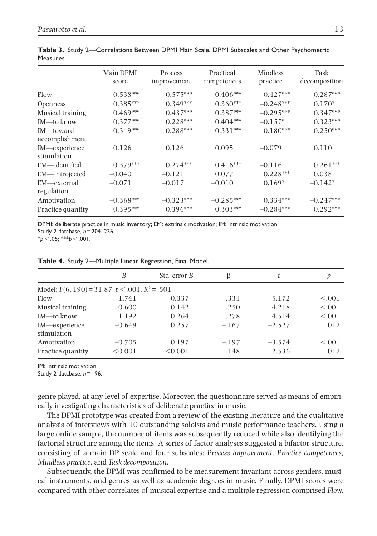|                              | Main DPMI<br>score | Process<br>improvement | Practical<br>competences | <b>Mindless</b><br>practice | Task<br>decomposition |
|------------------------------|--------------------|------------------------|--------------------------|-----------------------------|-----------------------|
| Flow                         | $0.538***$         | $0.575***$             | $0.406***$               | $-0.427***$                 | $0.287***$            |
| <i>Openness</i>              | $0.385***$         | $0.349***$             | $0.360***$               | $-0.248***$                 | $0.170*$              |
| Musical training             | $0.469***$         | $0.437***$             | $0.387***$               | $-0.295***$                 | $0.347***$            |
| IM-to know                   | $0.377***$         | $0.228***$             | $0.404***$               | $-0.157*$                   | $0.323***$            |
| IM-toward<br>accomplishment  | $0.349***$         | $0.288***$             | $0.331***$               | $-0.180***$                 | $0.250***$            |
| IM-experience<br>stimulation | 0.126              | 0.126                  | 0.095                    | $-0.079$                    | 0.110                 |
| EM-identified                | $0.379***$         | $0.274***$             | $0.416***$               | $-0.116$                    | $0.261***$            |
| EM—introjected               | $-0.040$           | $-0.121$               | 0.077                    | $0.228***$                  | 0.038                 |
| EM—external<br>regulation    | $-0.071$           | $-0.017$               | $-0.010$                 | $0.169*$                    | $-0.142*$             |
| Amotivation                  | $-0.368***$        | $-0.323***$            | $-0.285***$              | $0.334***$                  | $-0.247***$           |
| Practice quantity            | $0.395***$         | $0.396***$             | $0.303***$               | $-0.284***$                 | $0.292***$            |

**Table 3.** Study 2—Correlations Between DPMI Main Scale, DPMI Subscales and Other Psychometric Measures.

DPMI: deliberate practice in music inventory; EM: extrinsic motivation; IM: intrinsic motivation.

Study 2 database, *n*=204–236.

\**p*<.05; \*\*\**p*<.001.

|  |  |  |  | Table 4. Study 2-Multiple Linear Regression, Final Model. |  |  |
|--|--|--|--|-----------------------------------------------------------|--|--|
|--|--|--|--|-----------------------------------------------------------|--|--|

|                                                  | B                   | Std. error B     | ß               |                   | p               |  |  |  |
|--------------------------------------------------|---------------------|------------------|-----------------|-------------------|-----------------|--|--|--|
| Model: $F(6, 190) = 31.87, p < .001, R^2 = .501$ |                     |                  |                 |                   |                 |  |  |  |
| Flow                                             | 1.741               | 0.337            | .331            | 5.172             | < 0.001         |  |  |  |
| Musical training                                 | 0.600               | 0.142            | .250            | 4.218             | < 0.001         |  |  |  |
| IM—to know                                       | 1.192               | 0.264            | .278            | 4.514             | < 0.001         |  |  |  |
| IM—experience<br>stimulation                     | $-0.649$            | 0.257            | $-.167$         | $-2.527$          | .012            |  |  |  |
| Amotivation<br>Practice quantity                 | $-0.705$<br>< 0.001 | 0.197<br>< 0.001 | $-.197$<br>.148 | $-3.574$<br>2.536 | < 0.001<br>.012 |  |  |  |

IM: intrinsic motivation.

Study 2 database, *n*=196.

genre played, at any level of expertise. Moreover, the questionnaire served as means of empirically investigating characteristics of deliberate practice in music.

The DPMI prototype was created from a review of the existing literature and the qualitative analysis of interviews with 10 outstanding soloists and music performance teachers. Using a large online sample, the number of items was subsequently reduced while also identifying the factorial structure among the items. A series of factor analyses suggested a bifactor structure, consisting of a main DP scale and four subscales: *Process improvement, Practice competences, Mindless practice*, and *Task decomposition*.

Subsequently, the DPMI was confirmed to be measurement invariant across genders, musical instruments, and genres as well as academic degrees in music. Finally, DPMI scores were compared with other correlates of musical expertise and a multiple regression comprised *Flow,*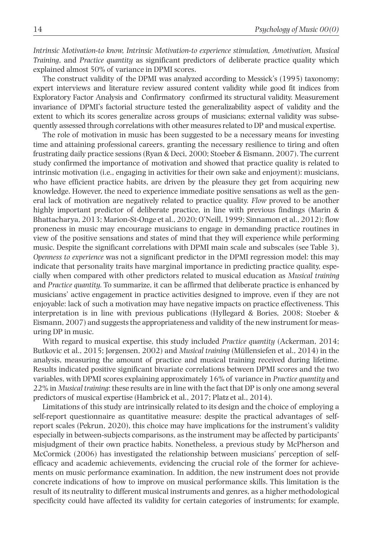*Intrinsic Motivation-to know, Intrinsic Motivation-to experience stimulation, Amotivation, Musical Training*, and *Practice quantity* as significant predictors of deliberate practice quality which explained almost 50% of variance in DPMI scores.

The construct validity of the DPMI was analyzed according to Messick's (1995) taxonomy; expert interviews and literature review assured content validity while good fit indices from Exploratory Factor Analysis and Confirmatory confirmed its structural validity. Measurement invariance of DPMI's factorial structure tested the generalizability aspect of validity and the extent to which its scores generalize across groups of musicians; external validity was subsequently assessed through correlations with other measures related to DP and musical expertise.

The role of motivation in music has been suggested to be a necessary means for investing time and attaining professional careers, granting the necessary resilience to tiring and often frustrating daily practice sessions (Ryan & Deci, 2000; Stoeber & Eismann, 2007). The current study confirmed the importance of motivation and showed that practice quality is related to intrinsic motivation (i.e., engaging in activities for their own sake and enjoyment): musicians, who have efficient practice habits, are driven by the pleasure they get from acquiring new knowledge. However, the need to experience immediate positive sensations as well as the general lack of motivation are negatively related to practice quality. *Flow* proved to be another highly important predictor of deliberate practice, in line with previous findings (Marin & Bhattacharya, 2013; Marion-St-Onge et al., 2020; O'Neill, 1999; Sinnamon et al., 2012): flow proneness in music may encourage musicians to engage in demanding practice routines in view of the positive sensations and states of mind that they will experience while performing music. Despite the significant correlations with DPMI main scale and subscales (see Table 3), *Openness to experience* was not a significant predictor in the DPMI regression model: this may indicate that personality traits have marginal importance in predicting practice quality, especially when compared with other predictors related to musical education as *Musical training* and *Practice quantity.* To summarize, it can be affirmed that deliberate practice is enhanced by musicians' active engagement in practice activities designed to improve, even if they are not enjoyable: lack of such a motivation may have negative impacts on practice effectiveness. This interpretation is in line with previous publications (Hyllegard & Bories, 2008; Stoeber & Eismann, 2007) and suggests the appropriateness and validity of the new instrument for measuring DP in music.

With regard to musical expertise, this study included *Practice quantity* (Ackerman, 2014; Butkovic et al., 2015; Jørgensen, 2002) and *Musical training* (Müllensiefen et al., 2014) in the analysis, measuring the amount of practice and musical training received during lifetime. Results indicated positive significant bivariate correlations between DPMI scores and the two variables, with DPMI scores explaining approximately 16% of variance in *Practice quantity* and 22% in *Musical training*: these results are in line with the fact that DP is only one among several predictors of musical expertise (Hambrick et al., 2017; Platz et al., 2014).

Limitations of this study are intrinsically related to its design and the choice of employing a self-report questionnaire as quantitative measure: despite the practical advantages of selfreport scales (Pekrun, 2020), this choice may have implications for the instrument's validity especially in between-subjects comparisons, as the instrument may be affected by participants' misjudgment of their own practice habits. Nonetheless, a previous study by McPherson and McCormick (2006) has investigated the relationship between musicians' perception of selfefficacy and academic achievements, evidencing the crucial role of the former for achievements on music performance examination. In addition, the new instrument does not provide concrete indications of how to improve on musical performance skills. This limitation is the result of its neutrality to different musical instruments and genres, as a higher methodological specificity could have affected its validity for certain categories of instruments; for example,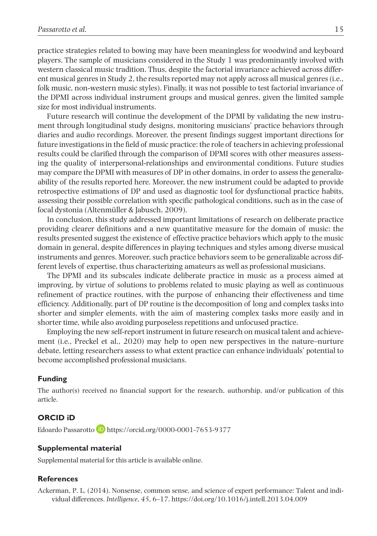practice strategies related to bowing may have been meaningless for woodwind and keyboard players. The sample of musicians considered in the Study 1 was predominantly involved with western classical music tradition. Thus, despite the factorial invariance achieved across different musical genres in Study 2, the results reported may not apply across all musical genres (i.e., folk music, non-western music styles). Finally, it was not possible to test factorial invariance of the DPMI across individual instrument groups and musical genres, given the limited sample size for most individual instruments.

Future research will continue the development of the DPMI by validating the new instrument through longitudinal study designs, monitoring musicians' practice behaviors through diaries and audio recordings. Moreover, the present findings suggest important directions for future investigations in the field of music practice: the role of teachers in achieving professional results could be clarified through the comparison of DPMI scores with other measures assessing the quality of interpersonal-relationships and environmental conditions. Future studies may compare the DPMI with measures of DP in other domains, in order to assess the generalizability of the results reported here. Moreover, the new instrument could be adapted to provide retrospective estimations of DP and used as diagnostic tool for dysfunctional practice habits, assessing their possible correlation with specific pathological conditions, such as in the case of focal dystonia (Altenmüller & Jabusch, 2009).

In conclusion, this study addressed important limitations of research on deliberate practice providing clearer definitions and a new quantitative measure for the domain of music: the results presented suggest the existence of effective practice behaviors which apply to the music domain in general, despite differences in playing techniques and styles among diverse musical instruments and genres. Moreover, such practice behaviors seem to be generalizable across different levels of expertise, thus characterizing amateurs as well as professional musicians.

The DPMI and its subscales indicate deliberate practice in music as a process aimed at improving, by virtue of solutions to problems related to music playing as well as continuous refinement of practice routines, with the purpose of enhancing their effectiveness and time efficiency. Additionally, part of DP routine is the decomposition of long and complex tasks into shorter and simpler elements, with the aim of mastering complex tasks more easily and in shorter time, while also avoiding purposeless repetitions and unfocused practice.

Employing the new self-report instrument in future research on musical talent and achievement (i.e., Preckel et al., 2020) may help to open new perspectives in the nature–nurture debate, letting researchers assess to what extent practice can enhance individuals' potential to become accomplished professional musicians.

### **Funding**

The author(s) received no financial support for the research, authorship, and/or publication of this article.

### **ORCID iD**

Edoardo Passarotto D<https://orcid.org/0000-0001-7653-9377>

#### **Supplemental material**

Supplemental material for this article is available online.

### **References**

Ackerman, P. L. (2014). Nonsense, common sense, and science of expert performance: Talent and individual differences. *Intelligence*, *45*, 6–17.<https://doi.org/10.1016/j.intell.2013.04.009>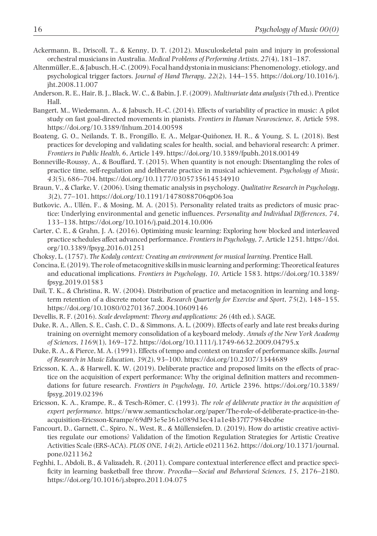- Ackermann, B., Driscoll, T., & Kenny, D. T. (2012). Musculoskeletal pain and injury in professional orchestral musicians in Australia. *Medical Problems of Performing Artists*, *27*(4), 181–187.
- Altenmüller, E., & Jabusch, H.-C. (2009). Focal hand dystonia in musicians: Phenomenology, etiology, and psychological trigger factors. *Journal of Hand Therapy*, *22*(2), 144–155. [https://doi.org/10.1016/j.](https://doi.org/10.1016/j.jht.2008.11.007) [jht.2008.11.007](https://doi.org/10.1016/j.jht.2008.11.007)
- Anderson, R. E., Hair, B. J., Black, W. C., & Babin, J. F. (2009). *Multivariate data analysis* (7th ed.). Prentice Hall.
- Bangert, M., Wiedemann, A., & Jabusch, H.-C. (2014). Effects of variability of practice in music: A pilot study on fast goal-directed movements in pianists. *Frontiers in Human Neuroscience*, *8*, Article 598. <https://doi.org/10.3389/fnhum.2014.00598>
- Boateng, G. O., Neilands, T. B., Frongillo, E. A., Melgar-Quiñonez, H. R., & Young, S. L. (2018). Best practices for developing and validating scales for health, social, and behavioral research: A primer. *Frontiers in Public Health*, *6*, Article 149. <https://doi.org/10.3389/fpubh.2018.00149>
- Bonneville-Roussy, A., & Bouffard, T. (2015). When quantity is not enough: Disentangling the roles of practice time, self-regulation and deliberate practice in musical achievement. *Psychology of Music*, *43*(5), 686–704. <https://doi.org/10.1177/0305735614534910>
- Braun, V., & Clarke, V. (2006). Using thematic analysis in psychology. *Qualitative Research in Psychology*, *3*(2), 77–101.<https://doi.org/10.1191/1478088706qp063oa>
- Butkovic, A., Ullén, F., & Mosing, M. A. (2015). Personality related traits as predictors of music practice: Underlying environmental and genetic influences. *Personality and Individual Differences*, *74*, 133–138.<https://doi.org/10.1016/j.paid.2014.10.006>
- Carter, C. E., & Grahn, J. A. (2016). Optimizing music learning: Exploring how blocked and interleaved practice schedules affect advanced performance. *Frontiers in Psychology*, *7*, Article 1251. [https://doi.](https://doi.org/10.3389/fpsyg.2016.01251) [org/10.3389/fpsyg.2016.01251](https://doi.org/10.3389/fpsyg.2016.01251)
- Choksy, L. (1757). *The Kodaly context: Creating an environment for musical learning*. Prentice Hall.
- Concina, E. (2019). The role of metacognitive skills in music learning and performing: Theoretical features and educational implications. *Frontiers in Psychology*, *10*, Article 1583. [https://doi.org/10.3389/](https://doi.org/10.3389/fpsyg.2019.01583) [fpsyg.2019.01583](https://doi.org/10.3389/fpsyg.2019.01583)
- Dail, T. K., & Christina, R. W. (2004). Distribution of practice and metacognition in learning and longterm retention of a discrete motor task. *Research Quarterly for Exercise and Sport*, *75*(2), 148–155. <https://doi.org/10.1080/02701367.2004.10609146>
- Devellis, R. F. (2016). *Scale development: Theory and applications: 26* (4th ed.). SAGE.
- Duke, R. A., Allen, S. E., Cash, C. D., & Simmons, A. L. (2009). Effects of early and late rest breaks during training on overnight memory consolidation of a keyboard melody. *Annals of the New York Academy of Sciences*, *1169*(1), 169–172.<https://doi.org/10.1111/j.1749-6632.2009.04795.x>
- Duke, R. A., & Pierce, M. A. (1991). Effects of tempo and context on transfer of performance skills. *Journal of Research in Music Education*, *39*(2), 93–100.<https://doi.org/10.2307/3344689>
- Ericsson, K. A., & Harwell, K. W. (2019). Deliberate practice and proposed limits on the effects of practice on the acquisition of expert performance: Why the original definition matters and recommendations for future research. *Frontiers in Psychology*, *10*, Article 2396. [https://doi.org/10.3389/](https://doi.org/10.3389/fpsyg.2019.02396) [fpsyg.2019.02396](https://doi.org/10.3389/fpsyg.2019.02396)
- Ericsson, K. A., Krampe, R., & Tesch-Römer, C. (1993). *The role of deliberate practice in the acquisition of expert performance*. [https://www.semanticscholar.org/paper/The-role-of-deliberate-practice-in-the](https://www.semanticscholar.org/paper/The-role-of-deliberate-practice-in-the-acquisition-Ericsson-Krampe/69df93e5e361c089d3ec41a1e4b37f77984bcd6e)[acquisition-Ericsson-Krampe/69df93e5e361c089d3ec41a1e4b37f77984bcd6e](https://www.semanticscholar.org/paper/The-role-of-deliberate-practice-in-the-acquisition-Ericsson-Krampe/69df93e5e361c089d3ec41a1e4b37f77984bcd6e)
- Fancourt, D., Garnett, C., Spiro, N., West, R., & Müllensiefen, D. (2019). How do artistic creative activities regulate our emotions? Validation of the Emotion Regulation Strategies for Artistic Creative Activities Scale (ERS-ACA). *PLOS ONE*, *14*(2), Article e0211362. [https://doi.org/10.1371/journal.](https://doi.org/10.1371/journal.pone.0211362) [pone.0211362](https://doi.org/10.1371/journal.pone.0211362)
- Feghhi, I., Abdoli, B., & Valizadeh, R. (2011). Compare contextual interference effect and practice specificity in learning basketball free throw. *Procedia—Social and Behavioral Sciences*, *15*, 2176–2180. <https://doi.org/10.1016/j.sbspro.2011.04.075>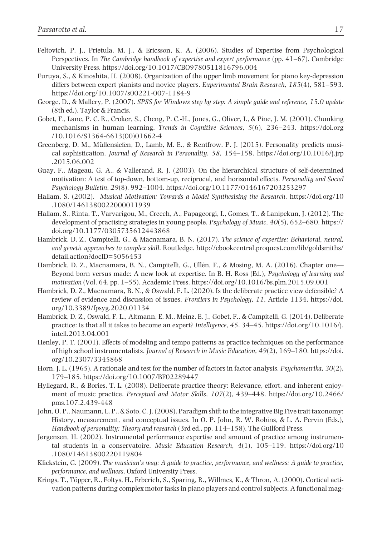- Feltovich, P. J., Prietula, M. J., & Ericsson, K. A. (2006). Studies of Expertise from Psychological Perspectives. In *The Cambridge handbook of expertise and expert performance* (pp. 41–67). Cambridge University Press. <https://doi.org/10.1017/CBO9780511816796.004>
- Furuya, S., & Kinoshita, H. (2008). Organization of the upper limb movement for piano key-depression differs between expert pianists and novice players. *Experimental Brain Research*, *185*(4), 581–593. <https://doi.org/10.1007/s00221-007-1184-9>
- George, D., & Mallery, P. (2007). *SPSS for Windows step by step: A simple guide and reference, 15.0 update* (8th ed.). Taylor & Francis.
- Gobet, F., Lane, P. C. R., Croker, S., Cheng, P. C.-H., Jones, G., Oliver, I., & Pine, J. M. (2001). Chunking mechanisms in human learning. *Trends in Cognitive Sciences*, *5*(6), 236–243. [https://doi.org](https://doi.org/10.1016/S1364-6613(00)01662-4) [/10.1016/S1364-6613\(00\)01662-4](https://doi.org/10.1016/S1364-6613(00)01662-4)
- Greenberg, D. M., Müllensiefen, D., Lamb, M. E., & Rentfrow, P. J. (2015). Personality predicts musical sophistication. *Journal of Research in Personality*, *58*, 154–158. [https://doi.org/10.1016/j.jrp](https://doi.org/10.1016/j.jrp.2015.06.002) [.2015.06.002](https://doi.org/10.1016/j.jrp.2015.06.002)
- Guay, F., Mageau, G. A., & Vallerand, R. J. (2003). On the hierarchical structure of self-determined motivation: A test of top-down, bottom-up, reciprocal, and horizontal effects. *Personality and Social Psychology Bulletin*, *29*(8), 992–1004.<https://doi.org/10.1177/0146167203253297>
- Hallam, S. (2002). *Musical Motivation: Towards a Model Synthesising the Research*. [https://doi.org/10](https://doi.org/10.1080/1461380022000011939) [.1080/1461380022000011939](https://doi.org/10.1080/1461380022000011939)
- Hallam, S., Rinta, T., Varvarigou, M., Creech, A., Papageorgi, I., Gomes, T., & Lanipekun, J. (2012). The development of practising strategies in young people. *Psychology of Music*, *40*(5), 652–680. [https://](https://doi.org/10.1177/0305735612443868) [doi.org/10.1177/0305735612443868](https://doi.org/10.1177/0305735612443868)
- Hambrick, D. Z., Campitelli, G., & Macnamara, B. N. (2017). *The science of expertise: Behavioral, neural, and genetic approaches to complex skill*. Routledge. [http://ebookcentral.proquest.com/lib/goldsmiths/](http://ebookcentral.proquest.com/lib/goldsmiths/detail.action?docID=5056453) [detail.action?docID=5056453](http://ebookcentral.proquest.com/lib/goldsmiths/detail.action?docID=5056453)
- Hambrick, D. Z., Macnamara, B. N., Campitelli, G., Ullén, F., & Mosing, M. A. (2016). Chapter one— Beyond born versus made: A new look at expertise. In B. H. Ross (Ed.), *Psychology of learning and motivation* (Vol. 64, pp. 1–55). Academic Press.<https://doi.org/10.1016/bs.plm.2015.09.001>
- Hambrick, D. Z., Macnamara, B. N., & Oswald, F. L. (2020). Is the deliberate practice view defensible? A review of evidence and discussion of issues. *Frontiers in Psychology*, *11*, Article 1134. [https://doi.](https://doi.org/10.3389/fpsyg.2020.01134) [org/10.3389/fpsyg.2020.01134](https://doi.org/10.3389/fpsyg.2020.01134)
- Hambrick, D. Z., Oswald, F. L., Altmann, E. M., Meinz, E. J., Gobet, F., & Campitelli, G. (2014). Deliberate practice: Is that all it takes to become an expert? *Intelligence*, *45*, 34–45. [https://doi.org/10.1016/j.](https://doi.org/10.1016/j.intell.2013.04.001) [intell.2013.04.001](https://doi.org/10.1016/j.intell.2013.04.001)
- Henley, P. T. (2001). Effects of modeling and tempo patterns as practice techniques on the performance of high school instrumentalists. *Journal of Research in Music Education*, *49*(2), 169–180. [https://doi.](https://doi.org/10.2307/3345868) [org/10.2307/3345868](https://doi.org/10.2307/3345868)
- Horn, J. L. (1965). A rationale and test for the number of factors in factor analysis. *Psychometrika*, *30*(2), 179–185.<https://doi.org/10.1007/BF02289447>
- Hyllegard, R., & Bories, T. L. (2008). Deliberate practice theory: Relevance, effort, and inherent enjoyment of music practice. *Perceptual and Motor Skills*, *107*(2), 439–448. [https://doi.org/10.2466/](https://doi.org/10.2466/pms.107.2.439-448) [pms.107.2.439-448](https://doi.org/10.2466/pms.107.2.439-448)
- John, O. P., Naumann, L. P., & Soto, C. J. (2008). Paradigm shift to the integrative Big Five trait taxonomy: History, measurement, and conceptual issues. In O. P. John, R. W. Robins, & L. A. Pervin (Eds.), *Handbook of personality: Theory and research* (3rd ed., pp. 114–158). The Guilford Press.
- Jørgensen, H. (2002). Instrumental performance expertise and amount of practice among instrumental students in a conservatoire. *Music Education Research*, *4*(1), 105–119. [https://doi.org/10](https://doi.org/10.1080/14613800220119804) [.1080/14613800220119804](https://doi.org/10.1080/14613800220119804)
- Klickstein, G. (2009). *The musician's way: A guide to practice, performance, and wellness: A guide to practice, performance, and wellness*. Oxford University Press.
- Krings, T., Töpper, R., Foltys, H., Erberich, S., Sparing, R., Willmes, K., & Thron, A. (2000). Cortical activation patterns during complex motor tasks in piano players and control subjects. A functional mag-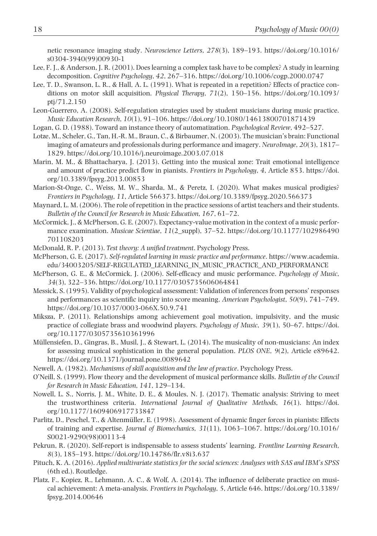netic resonance imaging study. *Neuroscience Letters*, *278*(3), 189–193. [https://doi.org/10.1016/](https://doi.org/10.1016/s0304-3940(99)00930-1) [s0304-3940\(99\)00930-1](https://doi.org/10.1016/s0304-3940(99)00930-1)

- Lee, F. J., & Anderson, J. R. (2001). Does learning a complex task have to be complex? A study in learning decomposition. *Cognitive Psychology*, *42*, 267–316.<https://doi.org/10.1006/cogp.2000.0747>
- Lee, T. D., Swanson, L. R., & Hall, A. L. (1991). What is repeated in a repetition? Effects of practice conditions on motor skill acquisition. *Physical Therapy*, *71*(2), 150–156. [https://doi.org/10.1093/](https://doi.org/10.1093/ptj/71.2.150) [ptj/71.2.150](https://doi.org/10.1093/ptj/71.2.150)
- Leon-Guerrero, A. (2008). Self-regulation strategies used by student musicians during music practice. *Music Education Research*, *10*(1), 91–106.<https://doi.org/10.1080/14613800701871439>
- Logan, G. D. (1988). Toward an instance theory of automatization. *Psychological Review*, 492–527.
- Lotze, M., Scheler, G., Tan, H.-R. M., Braun, C., & Birbaumer, N. (2003). The musician's brain: Functional imaging of amateurs and professionals during performance and imagery. *NeuroImage*, *20*(3), 1817– 1829. <https://doi.org/10.1016/j.neuroimage.2003.07.018>
- Marin, M. M., & Bhattacharya, J. (2013). Getting into the musical zone: Trait emotional intelligence and amount of practice predict flow in pianists. *Frontiers in Psychology*, *4*, Article 853. [https://doi.](https://doi.org/10.3389/fpsyg.2013.00853) [org/10.3389/fpsyg.2013.00853](https://doi.org/10.3389/fpsyg.2013.00853)
- Marion-St-Onge, C., Weiss, M. W., Sharda, M., & Peretz, I. (2020). What makes musical prodigies? *Frontiers in Psychology*, *11*, Article 566373. <https://doi.org/10.3389/fpsyg.2020.566373>
- Maynard, L. M. (2006). The role of repetition in the practice sessions of artist teachers and their students. *Bulletin of the Council for Research in Music Education*, *167*, 61–72.
- McCormick, J., & McPherson, G. E. (2007). Expectancy-value motivation in the context of a music performance examination. *Musicae Scientiae*, *11*(2\_suppl), 37–52. [https://doi.org/10.1177/102986490](https://doi.org/10.1177/10298649070110S203) [70110S203](https://doi.org/10.1177/10298649070110S203)
- McDonald, R. P. (2013). *Test theory: A unified treatment*. Psychology Press.
- McPherson, G. E. (2017). *Self-regulated learning in music practice and performance*. [https://www.academia.](https://www.academia.edu/34003205/SELF-REGULATED_LEARNING_IN_MUSIC_PRACTICE_AND_PERFORMANCE) [edu/34003205/SELF-REGULATED\\_LEARNING\\_IN\\_MUSIC\\_PRACTICE\\_AND\\_PERFORMANCE](https://www.academia.edu/34003205/SELF-REGULATED_LEARNING_IN_MUSIC_PRACTICE_AND_PERFORMANCE)
- McPherson, G. E., & McCormick, J. (2006). Self-efficacy and music performance. *Psychology of Music*, *34*(3), 322–336. <https://doi.org/10.1177/0305735606064841>
- Messick, S. (1995). Validity of psychological assessment: Validation of inferences from persons' responses and performances as scientific inquiry into score meaning. *American Psychologist*, *50*(9), 741–749. <https://doi.org/10.1037/0003-066X.50.9.741>
- Miksza, P. (2011). Relationships among achievement goal motivation, impulsivity, and the music practice of collegiate brass and woodwind players. *Psychology of Music*, *39*(1), 50–67. [https://doi.](https://doi.org/10.1177/0305735610361996) [org/10.1177/0305735610361996](https://doi.org/10.1177/0305735610361996)
- Müllensiefen, D., Gingras, B., Musil, J., & Stewart, L. (2014). The musicality of non-musicians: An index for assessing musical sophistication in the general population. *PLOS ONE*, *9*(2), Article e89642. <https://doi.org/10.1371/journal.pone.0089642>
- Newell, A. (1982). *Mechanisms of skill acquisition and the law of practice*. Psychology Press.
- O'Neill, S. (1999). Flow theory and the development of musical performance skills. *Bulletin of the Council for Research in Music Education*, *141*, 129–134.
- Nowell, L. S., Norris, J. M., White, D. E., & Moules, N. J. (2017). Thematic analysis: Striving to meet the trustworthiness criteria. *International Journal of Qualitative Methods*, *16*(1). [https://doi.](https://doi.org/10.1177/1609406917733847) [org/10.1177/1609406917733847](https://doi.org/10.1177/1609406917733847)
- Parlitz, D., Peschel, T., & Altenmüller, E. (1998). Assessment of dynamic finger forces in pianists: Effects of training and expertise. *Journal of Biomechanics*, *31*(11), 1063–1067. [https://doi.org/10.1016/](https://doi.org/10.1016/S0021-9290(98)00113-4) [S0021-9290\(98\)00113-4](https://doi.org/10.1016/S0021-9290(98)00113-4)
- Pekrun, R. (2020). Self-report is indispensable to assess students' learning. *Frontline Learning Research*, *8*(3), 185–193.<https://doi.org/10.14786/flr.v8i3.637>
- Pituch, K. A. (2016). *Applied multivariate statistics for the social sciences: Analyses with SAS and IBM's SPSS* (6th ed.). Routledge.
- Platz, F., Kopiez, R., Lehmann, A. C., & Wolf, A. (2014). The influence of deliberate practice on musical achievement: A meta-analysis. *Frontiers in Psychology*, *5*, Article 646. [https://doi.org/10.3389/](https://doi.org/10.3389/fpsyg.2014.00646) [fpsyg.2014.00646](https://doi.org/10.3389/fpsyg.2014.00646)